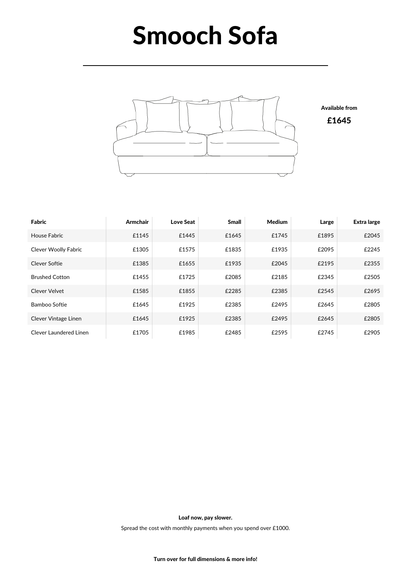## Smooch Sofa



| Fabric                      | <b>Armchair</b> | Love Seat | <b>Small</b> | <b>Medium</b> | Large | Extra large |
|-----------------------------|-----------------|-----------|--------------|---------------|-------|-------------|
| House Fabric                | £1145           | £1445     | £1645        | £1745         | £1895 | £2045       |
| <b>Clever Woolly Fabric</b> | £1305           | £1575     | £1835        | £1935         | £2095 | £2245       |
| Clever Softie               | £1385           | £1655     | £1935        | £2045         | £2195 | £2355       |
| <b>Brushed Cotton</b>       | £1455           | £1725     | £2085        | £2185         | £2345 | £2505       |
| Clever Velvet               | £1585           | £1855     | £2285        | £2385         | £2545 | £2695       |
| Bamboo Softie               | £1645           | £1925     | £2385        | £2495         | £2645 | £2805       |
| Clever Vintage Linen        | £1645           | £1925     | £2385        | £2495         | £2645 | £2805       |
| Clever Laundered Linen      | £1705           | £1985     | £2485        | £2595         | £2745 | £2905       |

Loaf now, pay slower.

Spread the cost with monthly payments when you spend over £1000.